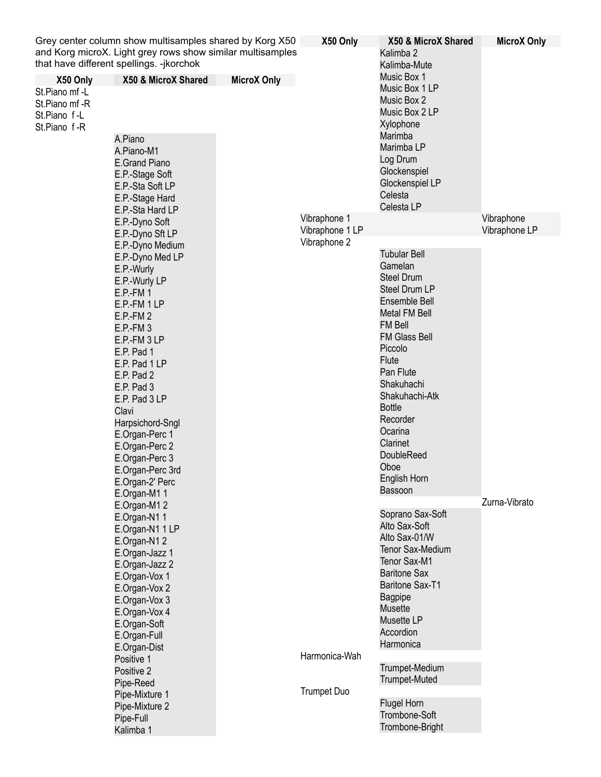|                                                                             | Grey center column show multisamples shared by Korg X50                                                                                                                                                                                                                                                                                                                                   |                    | X50 Only                            | X50 & MicroX Shared                                                                                                                                                                                                                                                                                                                                | <b>MicroX Only</b>          |
|-----------------------------------------------------------------------------|-------------------------------------------------------------------------------------------------------------------------------------------------------------------------------------------------------------------------------------------------------------------------------------------------------------------------------------------------------------------------------------------|--------------------|-------------------------------------|----------------------------------------------------------------------------------------------------------------------------------------------------------------------------------------------------------------------------------------------------------------------------------------------------------------------------------------------------|-----------------------------|
|                                                                             | and Korg microX. Light grey rows show similar multisamples<br>that have different spellings. -jkorchok                                                                                                                                                                                                                                                                                    |                    |                                     | Kalimba 2<br>Kalimba-Mute                                                                                                                                                                                                                                                                                                                          |                             |
| X50 Only<br>St.Piano mf-L<br>St.Piano mf -R<br>St.Piano f-L<br>St.Piano f-R | X50 & MicroX Shared<br>A.Piano<br>A.Piano-M1<br><b>E.Grand Piano</b><br>E.P.-Stage Soft<br>E.P.-Sta Soft LP<br>E.P.-Stage Hard                                                                                                                                                                                                                                                            | <b>MicroX Only</b> |                                     | Music Box 1<br>Music Box 1 LP<br>Music Box 2<br>Music Box 2 LP<br>Xylophone<br>Marimba<br>Marimba LP<br>Log Drum<br>Glockenspiel<br>Glockenspiel LP<br>Celesta                                                                                                                                                                                     |                             |
|                                                                             | E.P.-Sta Hard LP<br>E.P.-Dyno Soft                                                                                                                                                                                                                                                                                                                                                        |                    | Vibraphone 1<br>Vibraphone 1 LP     | Celesta LP                                                                                                                                                                                                                                                                                                                                         | Vibraphone<br>Vibraphone LP |
|                                                                             | E.P.-Dyno Sft LP<br>E.P.-Dyno Medium<br>E.P.-Dyno Med LP<br>E.P.-Wurly<br>E.P.-Wurly LP<br>$E.P.-FM 1$<br>E.P.-FM 1 LP<br>$E.P.-FM 2$<br>$E.P.-FM3$<br>E.P.-FM 3 LP<br>E.P. Pad 1<br>E.P. Pad 1 LP<br>E.P. Pad 2<br>E.P. Pad 3<br>E.P. Pad 3 LP<br>Clavi<br>Harpsichord-Sngl<br>E.Organ-Perc 1<br>E.Organ-Perc 2<br>E.Organ-Perc 3<br>E.Organ-Perc 3rd<br>E.Organ-2' Perc<br>E.Organ-M1 1 |                    | Vibraphone 2                        | <b>Tubular Bell</b><br>Gamelan<br><b>Steel Drum</b><br><b>Steel Drum LP</b><br>Ensemble Bell<br><b>Metal FM Bell</b><br><b>FM Bell</b><br><b>FM Glass Bell</b><br>Piccolo<br><b>Flute</b><br>Pan Flute<br>Shakuhachi<br>Shakuhachi-Atk<br><b>Bottle</b><br>Recorder<br>Ocarina<br>Clarinet<br><b>DoubleReed</b><br>Oboe<br>English Horn<br>Bassoon |                             |
|                                                                             | E.Organ-M1 2<br>E.Organ-N11<br>E.Organ-N1 1 LP<br>E.Organ-N1 2<br>E.Organ-Jazz 1<br>E.Organ-Jazz 2<br>E.Organ-Vox 1<br>E.Organ-Vox 2<br>E.Organ-Vox 3<br>E.Organ-Vox 4<br>E.Organ-Soft<br>E.Organ-Full<br>E.Organ-Dist<br>Positive 1<br>Positive 2<br>Pipe-Reed<br>Pipe-Mixture 1<br>Pipe-Mixture 2<br>Pipe-Full<br>Kalimba 1                                                             |                    | Harmonica-Wah<br><b>Trumpet Duo</b> | Soprano Sax-Soft<br>Alto Sax-Soft<br>Alto Sax-01/W<br>Tenor Sax-Medium<br>Tenor Sax-M1<br><b>Baritone Sax</b><br>Baritone Sax-T1<br><b>Bagpipe</b><br><b>Musette</b><br>Musette LP<br>Accordion<br>Harmonica<br>Trumpet-Medium<br><b>Trumpet-Muted</b><br><b>Flugel Horn</b><br>Trombone-Soft<br>Trombone-Bright                                   | Zurna-Vibrato               |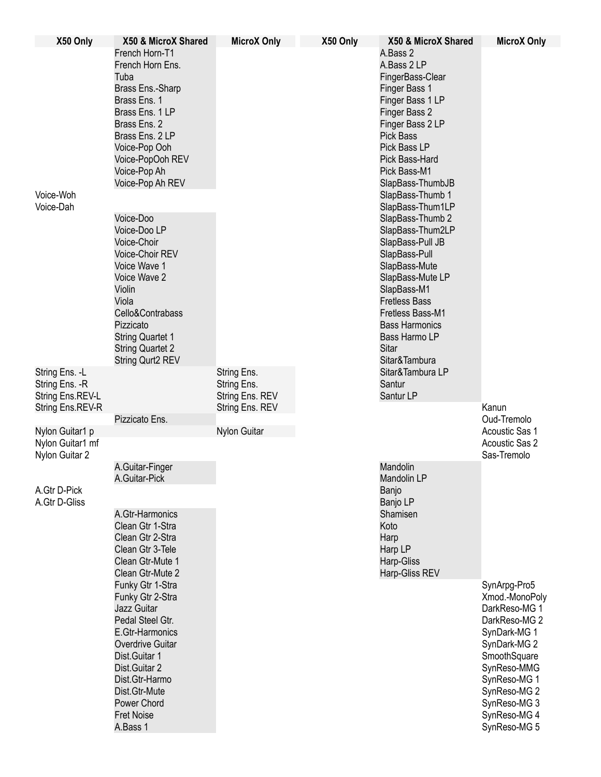| X50 Only                                              | X50 & MicroX Shared                                                                                                                                                                                                                 | <b>MicroX Only</b>         | X50 Only | X50 & MicroX Shared                                                                                                                                                                                                                                  | <b>MicroX Only</b>                                                                                                                                                                                              |
|-------------------------------------------------------|-------------------------------------------------------------------------------------------------------------------------------------------------------------------------------------------------------------------------------------|----------------------------|----------|------------------------------------------------------------------------------------------------------------------------------------------------------------------------------------------------------------------------------------------------------|-----------------------------------------------------------------------------------------------------------------------------------------------------------------------------------------------------------------|
|                                                       | French Horn-T1<br>French Horn Ens.<br>Tuba<br>Brass Ens.-Sharp<br>Brass Ens. 1<br>Brass Ens. 1 LP<br>Brass Ens. 2<br>Brass Ens. 2 LP<br>Voice-Pop Ooh<br>Voice-PopOoh REV<br>Voice-Pop Ah<br>Voice-Pop Ah REV                       |                            |          | A.Bass 2<br>A.Bass 2 LP<br>FingerBass-Clear<br>Finger Bass 1<br>Finger Bass 1 LP<br>Finger Bass 2<br>Finger Bass 2 LP<br><b>Pick Bass</b><br>Pick Bass LP<br>Pick Bass-Hard<br>Pick Bass-M1<br>SlapBass-ThumbJB                                      |                                                                                                                                                                                                                 |
| Voice-Woh<br>Voice-Dah                                |                                                                                                                                                                                                                                     |                            |          | SlapBass-Thumb 1<br>SlapBass-Thum1LP                                                                                                                                                                                                                 |                                                                                                                                                                                                                 |
|                                                       | Voice-Doo<br>Voice-Doo LP<br>Voice-Choir<br>Voice-Choir REV<br>Voice Wave 1<br>Voice Wave 2<br>Violin<br>Viola<br>Cello&Contrabass<br>Pizzicato<br><b>String Quartet 1</b><br><b>String Quartet 2</b><br>String Qurt2 REV           |                            |          | SlapBass-Thumb 2<br>SlapBass-Thum2LP<br>SlapBass-Pull JB<br>SlapBass-Pull<br>SlapBass-Mute<br>SlapBass-Mute LP<br>SlapBass-M1<br><b>Fretless Bass</b><br>Fretless Bass-M1<br><b>Bass Harmonics</b><br>Bass Harmo LP<br><b>Sitar</b><br>Sitar&Tambura |                                                                                                                                                                                                                 |
| String Ens. - L<br>String Ens. - R                    |                                                                                                                                                                                                                                     | String Ens.<br>String Ens. |          | Sitar&Tambura LP<br>Santur                                                                                                                                                                                                                           |                                                                                                                                                                                                                 |
| String Ens.REV-L                                      |                                                                                                                                                                                                                                     | String Ens. REV            |          | Santur LP                                                                                                                                                                                                                                            |                                                                                                                                                                                                                 |
| String Ens.REV-R                                      | Pizzicato Ens.                                                                                                                                                                                                                      | String Ens. REV            |          |                                                                                                                                                                                                                                                      | Kanun<br>Oud-Tremolo                                                                                                                                                                                            |
| Nylon Guitar1 p<br>Nylon Guitar1 mf<br>Nylon Guitar 2 |                                                                                                                                                                                                                                     | Nylon Guitar               |          |                                                                                                                                                                                                                                                      | Acoustic Sas 1<br>Acoustic Sas 2<br>Sas-Tremolo                                                                                                                                                                 |
|                                                       | A.Guitar-Finger<br>A.Guitar-Pick                                                                                                                                                                                                    |                            |          | Mandolin<br>Mandolin LP                                                                                                                                                                                                                              |                                                                                                                                                                                                                 |
| A.Gtr D-Pick<br>A.Gtr D-Gliss                         | A.Gtr-Harmonics<br>Clean Gtr 1-Stra<br>Clean Gtr 2-Stra<br>Clean Gtr 3-Tele<br>Clean Gtr-Mute 1<br>Clean Gtr-Mute 2                                                                                                                 |                            |          | Banjo<br>Banjo LP<br>Shamisen<br>Koto<br>Harp<br>Harp LP<br>Harp-Gliss<br>Harp-Gliss REV                                                                                                                                                             |                                                                                                                                                                                                                 |
|                                                       | Funky Gtr 1-Stra<br>Funky Gtr 2-Stra<br>Jazz Guitar<br>Pedal Steel Gtr.<br>E.Gtr-Harmonics<br>Overdrive Guitar<br>Dist.Guitar 1<br>Dist.Guitar 2<br>Dist.Gtr-Harmo<br>Dist.Gtr-Mute<br>Power Chord<br><b>Fret Noise</b><br>A.Bass 1 |                            |          |                                                                                                                                                                                                                                                      | SynArpg-Pro5<br>Xmod.-MonoPoly<br>DarkReso-MG 1<br>DarkReso-MG 2<br>SynDark-MG 1<br>SynDark-MG 2<br>SmoothSquare<br>SynReso-MMG<br>SynReso-MG 1<br>SynReso-MG 2<br>SynReso-MG 3<br>SynReso-MG 4<br>SynReso-MG 5 |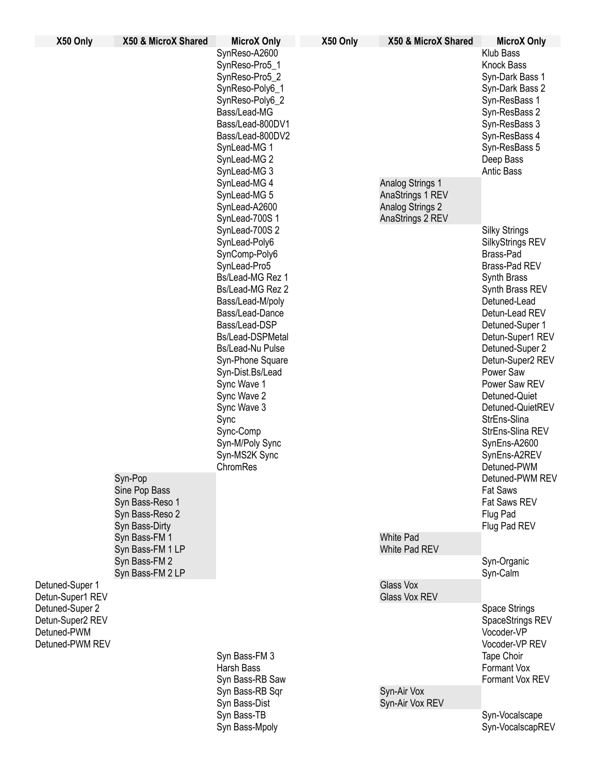| X50 Only                                                                                                     | X50 & MicroX Shared                                                                    | <b>MicroX Only</b>                                                                                                                                                                                                                                                                                                                                                                                    | X50 Only | X50 & MicroX Shared                                      | <b>MicroX Only</b>                                                                                                                                                                                                                                                                                                                                                             |
|--------------------------------------------------------------------------------------------------------------|----------------------------------------------------------------------------------------|-------------------------------------------------------------------------------------------------------------------------------------------------------------------------------------------------------------------------------------------------------------------------------------------------------------------------------------------------------------------------------------------------------|----------|----------------------------------------------------------|--------------------------------------------------------------------------------------------------------------------------------------------------------------------------------------------------------------------------------------------------------------------------------------------------------------------------------------------------------------------------------|
|                                                                                                              |                                                                                        | SynReso-A2600<br>SynReso-Pro5_1<br>SynReso-Pro5_2<br>SynReso-Poly6_1<br>SynReso-Poly6 2<br>Bass/Lead-MG<br>Bass/Lead-800DV1<br>Bass/Lead-800DV2<br>SynLead-MG 1<br>SynLead-MG 2<br>SynLead-MG 3<br>SynLead-MG 4<br>SynLead-MG 5                                                                                                                                                                       |          | <b>Analog Strings 1</b>                                  | Klub Bass<br><b>Knock Bass</b><br>Syn-Dark Bass 1<br>Syn-Dark Bass 2<br>Syn-ResBass 1<br>Syn-ResBass 2<br>Syn-ResBass 3<br>Syn-ResBass 4<br>Syn-ResBass 5<br>Deep Bass<br><b>Antic Bass</b>                                                                                                                                                                                    |
|                                                                                                              | Syn-Pop                                                                                | SynLead-A2600<br>SynLead-700S 1<br>SynLead-700S 2<br>SynLead-Poly6<br>SynComp-Poly6<br>SynLead-Pro5<br>Bs/Lead-MG Rez 1<br>Bs/Lead-MG Rez 2<br>Bass/Lead-M/poly<br>Bass/Lead-Dance<br>Bass/Lead-DSP<br>Bs/Lead-DSPMetal<br>Bs/Lead-Nu Pulse<br>Syn-Phone Square<br>Syn-Dist.Bs/Lead<br>Sync Wave 1<br>Sync Wave 2<br>Sync Wave 3<br>Sync<br>Sync-Comp<br>Syn-M/Poly Sync<br>Syn-MS2K Sync<br>ChromRes |          | AnaStrings 1 REV<br>Analog Strings 2<br>AnaStrings 2 REV | <b>Silky Strings</b><br>SilkyStrings REV<br>Brass-Pad<br>Brass-Pad REV<br>Synth Brass<br>Synth Brass REV<br>Detuned-Lead<br>Detun-Lead REV<br>Detuned-Super 1<br>Detun-Super1 REV<br>Detuned-Super 2<br>Detun-Super2 REV<br>Power Saw<br>Power Saw REV<br>Detuned-Quiet<br>Detuned-QuietREV<br>StrEns-Slina<br>StrEns-Slina REV<br>SynEns-A2600<br>SynEns-A2REV<br>Detuned-PWM |
| Detuned-Super 1<br>Detun-Super1 REV<br>Detuned-Super 2<br>Detun-Super2 REV<br>Detuned-PWM<br>Detuned-PWM REV | Sine Pop Bass<br>Syn Bass-Reso 1<br>Syn Bass-Reso 2<br>Syn Bass-Dirty<br>Syn Bass-FM 1 |                                                                                                                                                                                                                                                                                                                                                                                                       |          | <b>White Pad</b>                                         | Detuned-PWM REV<br><b>Fat Saws</b><br>Fat Saws REV<br>Flug Pad<br>Flug Pad REV                                                                                                                                                                                                                                                                                                 |
|                                                                                                              | Syn Bass-FM 1 LP<br>Syn Bass-FM 2<br>Syn Bass-FM 2 LP                                  |                                                                                                                                                                                                                                                                                                                                                                                                       |          | White Pad REV                                            | Syn-Organic<br>Syn-Calm                                                                                                                                                                                                                                                                                                                                                        |
|                                                                                                              |                                                                                        | Syn Bass-FM 3<br><b>Harsh Bass</b><br>Syn Bass-RB Saw<br>Syn Bass-RB Sqr<br>Syn Bass-Dist                                                                                                                                                                                                                                                                                                             |          | Glass Vox<br>Glass Vox REV                               |                                                                                                                                                                                                                                                                                                                                                                                |
|                                                                                                              |                                                                                        |                                                                                                                                                                                                                                                                                                                                                                                                       |          |                                                          | Space Strings<br>SpaceStrings REV<br>Vocoder-VP<br>Vocoder-VP REV<br>Tape Choir<br>Formant Vox<br>Formant Vox REV                                                                                                                                                                                                                                                              |
|                                                                                                              |                                                                                        |                                                                                                                                                                                                                                                                                                                                                                                                       |          | Syn-Air Vox<br>Syn-Air Vox REV                           |                                                                                                                                                                                                                                                                                                                                                                                |
|                                                                                                              |                                                                                        | Syn Bass-TB<br>Syn Bass-Mpoly                                                                                                                                                                                                                                                                                                                                                                         |          |                                                          | Syn-Vocalscape<br>Syn-VocalscapREV                                                                                                                                                                                                                                                                                                                                             |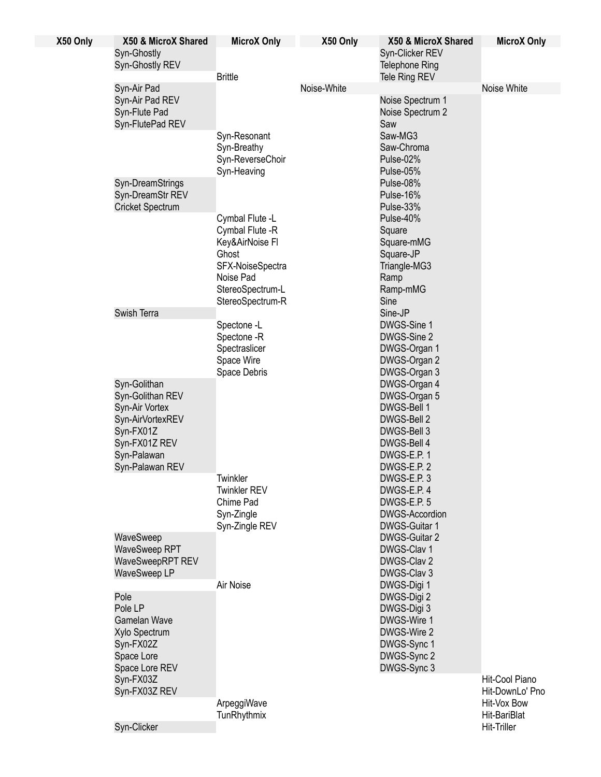| X50 Only | X50 & MicroX Shared                                                 | <b>MicroX Only</b>                                                                 | X50 Only    | X50 & MicroX Shared                                            | <b>MicroX Only</b> |
|----------|---------------------------------------------------------------------|------------------------------------------------------------------------------------|-------------|----------------------------------------------------------------|--------------------|
|          | Syn-Ghostly<br>Syn-Ghostly REV                                      |                                                                                    |             | Syn-Clicker REV<br><b>Telephone Ring</b>                       |                    |
|          |                                                                     | <b>Brittle</b>                                                                     |             | Tele Ring REV                                                  |                    |
|          | Syn-Air Pad<br>Syn-Air Pad REV<br>Syn-Flute Pad<br>Syn-FlutePad REV |                                                                                    | Noise-White | Noise Spectrum 1<br>Noise Spectrum 2<br>Saw                    | Noise White        |
|          |                                                                     | Syn-Resonant<br>Syn-Breathy<br>Syn-ReverseChoir<br>Syn-Heaving                     |             | Saw-MG3<br>Saw-Chroma<br>Pulse-02%<br>Pulse-05%                |                    |
|          | Syn-DreamStrings<br>Syn-DreamStr REV<br><b>Cricket Spectrum</b>     |                                                                                    |             | Pulse-08%<br>Pulse-16%<br>Pulse-33%                            |                    |
|          |                                                                     | Cymbal Flute -L<br>Cymbal Flute -R<br>Key&AirNoise Fl<br>Ghost<br>SFX-NoiseSpectra |             | Pulse-40%<br>Square<br>Square-mMG<br>Square-JP<br>Triangle-MG3 |                    |
|          |                                                                     | Noise Pad<br>StereoSpectrum-L<br>StereoSpectrum-R                                  |             | Ramp<br>Ramp-mMG<br>Sine                                       |                    |
|          | Swish Terra                                                         |                                                                                    |             | Sine-JP                                                        |                    |
|          |                                                                     | Spectone -L<br>Spectone -R                                                         |             | DWGS-Sine 1<br>DWGS-Sine 2                                     |                    |
|          |                                                                     | Spectraslicer<br>Space Wire<br>Space Debris                                        |             | DWGS-Organ 1                                                   |                    |
|          |                                                                     |                                                                                    |             | DWGS-Organ 2                                                   |                    |
|          |                                                                     |                                                                                    |             | DWGS-Organ 3                                                   |                    |
|          | Syn-Golithan                                                        |                                                                                    |             | DWGS-Organ 4                                                   |                    |
|          | Syn-Golithan REV                                                    |                                                                                    |             | DWGS-Organ 5                                                   |                    |
|          | Syn-Air Vortex<br>Syn-AirVortexREV                                  |                                                                                    |             | DWGS-Bell 1<br>DWGS-Bell 2                                     |                    |
|          | Syn-FX01Z                                                           |                                                                                    |             | DWGS-Bell 3                                                    |                    |
|          | Syn-FX01Z REV                                                       |                                                                                    |             | DWGS-Bell 4                                                    |                    |
|          | Syn-Palawan                                                         |                                                                                    |             | DWGS-E.P. 1                                                    |                    |
|          | Syn-Palawan REV                                                     |                                                                                    |             | DWGS-E.P. 2                                                    |                    |
|          |                                                                     | Twinkler                                                                           |             | DWGS-E.P. 3                                                    |                    |
|          |                                                                     | <b>Twinkler REV</b><br>Chime Pad                                                   |             | DWGS-E.P. 4                                                    |                    |
|          |                                                                     | Syn-Zingle<br>Syn-Zingle REV                                                       |             | DWGS-E.P. 5<br><b>DWGS-Accordion</b>                           |                    |
|          |                                                                     |                                                                                    |             | DWGS-Guitar 1                                                  |                    |
|          | WaveSweep                                                           |                                                                                    |             | DWGS-Guitar 2                                                  |                    |
|          | <b>WaveSweep RPT</b><br>WaveSweepRPT REV<br>WaveSweep LP            |                                                                                    |             | DWGS-Clav 1<br>DWGS-Clav 2<br>DWGS-Clav 3                      |                    |
|          |                                                                     | Air Noise                                                                          |             | DWGS-Digi 1                                                    |                    |
|          | Pole                                                                |                                                                                    |             | DWGS-Digi 2                                                    |                    |
|          | Pole LP                                                             |                                                                                    |             | DWGS-Digi 3                                                    |                    |
|          | <b>Gamelan Wave</b>                                                 |                                                                                    |             | DWGS-Wire 1                                                    |                    |
|          | Xylo Spectrum                                                       |                                                                                    |             | DWGS-Wire 2                                                    |                    |
|          | Syn-FX02Z<br>Space Lore                                             |                                                                                    |             | DWGS-Sync 1<br>DWGS-Sync 2                                     |                    |
|          | Space Lore REV                                                      |                                                                                    |             | DWGS-Sync 3                                                    |                    |
|          | Syn-FX03Z                                                           |                                                                                    |             |                                                                | Hit-Cool Piano     |
|          | Syn-FX03Z REV                                                       |                                                                                    |             |                                                                | Hit-DownLo' Pno    |
|          |                                                                     | ArpeggiWave                                                                        |             |                                                                | Hit-Vox Bow        |
|          |                                                                     | TunRhythmix                                                                        |             |                                                                | Hit-BariBlat       |
|          | Syn-Clicker                                                         |                                                                                    |             |                                                                | <b>Hit-Triller</b> |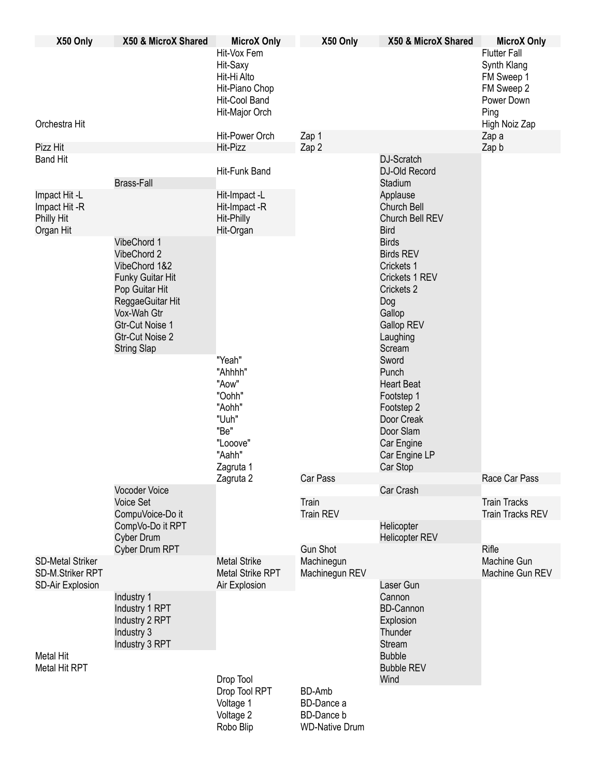| X50 Only                                                        | X50 & MicroX Shared                                                                                                                                                                            | <b>MicroX Only</b><br>Hit-Vox Fem<br>Hit-Saxy<br>Hit-Hi Alto<br>Hit-Piano Chop<br>Hit-Cool Band    | X50 Only                                                                  | X50 & MicroX Shared                                                                                                                                                                                                                                                                 | <b>MicroX Only</b><br><b>Flutter Fall</b><br>Synth Klang<br>FM Sweep 1<br>FM Sweep 2<br>Power Down |
|-----------------------------------------------------------------|------------------------------------------------------------------------------------------------------------------------------------------------------------------------------------------------|----------------------------------------------------------------------------------------------------|---------------------------------------------------------------------------|-------------------------------------------------------------------------------------------------------------------------------------------------------------------------------------------------------------------------------------------------------------------------------------|----------------------------------------------------------------------------------------------------|
| Orchestra Hit                                                   |                                                                                                                                                                                                | Hit-Major Orch<br>Hit-Power Orch                                                                   | Zap 1                                                                     |                                                                                                                                                                                                                                                                                     | Ping<br>High Noiz Zap<br>Zap a                                                                     |
| Pizz Hit                                                        |                                                                                                                                                                                                | Hit-Pizz                                                                                           | Zap 2                                                                     |                                                                                                                                                                                                                                                                                     | Zap b                                                                                              |
| <b>Band Hit</b>                                                 | <b>Brass-Fall</b>                                                                                                                                                                              | Hit-Funk Band                                                                                      |                                                                           | DJ-Scratch<br>DJ-Old Record<br>Stadium                                                                                                                                                                                                                                              |                                                                                                    |
| Impact Hit-L<br>Impact Hit -R<br><b>Philly Hit</b><br>Organ Hit |                                                                                                                                                                                                | Hit-Impact-L<br>Hit-Impact -R<br>Hit-Philly<br>Hit-Organ                                           |                                                                           | Applause<br>Church Bell<br>Church Bell REV<br><b>Bird</b>                                                                                                                                                                                                                           |                                                                                                    |
|                                                                 | VibeChord 1<br>VibeChord 2<br>VibeChord 1&2<br>Funky Guitar Hit<br>Pop Guitar Hit<br>ReggaeGuitar Hit<br>Vox-Wah Gtr<br><b>Gtr-Cut Noise 1</b><br><b>Gtr-Cut Noise 2</b><br><b>String Slap</b> | "Yeah"<br>"Ahhhh"<br>"Aow"<br>"Oohh"<br>"Aohh"<br>"Uuh"<br>"Be"<br>"Looove"<br>"Aahh"<br>Zagruta 1 |                                                                           | <b>Birds</b><br><b>Birds REV</b><br>Crickets 1<br>Crickets 1 REV<br>Crickets 2<br>Dog<br>Gallop<br><b>Gallop REV</b><br>Laughing<br>Scream<br>Sword<br>Punch<br><b>Heart Beat</b><br>Footstep 1<br>Footstep 2<br>Door Creak<br>Door Slam<br>Car Engine<br>Car Engine LP<br>Car Stop |                                                                                                    |
|                                                                 | <b>Vocoder Voice</b><br><b>Voice Set</b><br>CompuVoice-Do it<br>CompVo-Do it RPT<br><b>Cyber Drum</b>                                                                                          | Zagruta 2                                                                                          | Car Pass                                                                  | Car Crash                                                                                                                                                                                                                                                                           | Race Car Pass                                                                                      |
|                                                                 |                                                                                                                                                                                                |                                                                                                    | Train<br><b>Train REV</b>                                                 |                                                                                                                                                                                                                                                                                     | <b>Train Tracks</b><br><b>Train Tracks REV</b>                                                     |
|                                                                 |                                                                                                                                                                                                |                                                                                                    |                                                                           | Helicopter<br><b>Helicopter REV</b>                                                                                                                                                                                                                                                 |                                                                                                    |
| <b>SD-Metal Striker</b><br>SD-M.Striker RPT                     | Cyber Drum RPT                                                                                                                                                                                 | <b>Metal Strike</b><br><b>Metal Strike RPT</b>                                                     | <b>Gun Shot</b><br>Machinegun<br>Machinegun REV                           |                                                                                                                                                                                                                                                                                     | Rifle<br>Machine Gun<br>Machine Gun REV                                                            |
| <b>SD-Air Explosion</b><br><b>Metal Hit</b><br>Metal Hit RPT    | Industry 1<br>Industry 1 RPT<br>Industry 2 RPT<br>Industry 3<br>Industry 3 RPT                                                                                                                 | Air Explosion                                                                                      |                                                                           | Laser Gun<br>Cannon<br><b>BD-Cannon</b><br>Explosion<br>Thunder<br><b>Stream</b><br><b>Bubble</b><br><b>Bubble REV</b>                                                                                                                                                              |                                                                                                    |
|                                                                 |                                                                                                                                                                                                | Drop Tool<br>Drop Tool RPT<br>Voltage 1<br>Voltage 2<br>Robo Blip                                  | <b>BD-Amb</b><br>BD-Dance a<br><b>BD-Dance b</b><br><b>WD-Native Drum</b> | Wind                                                                                                                                                                                                                                                                                |                                                                                                    |